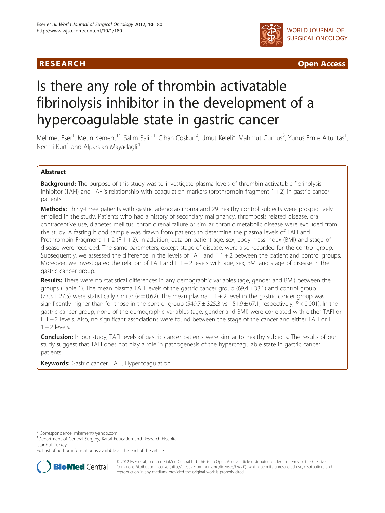

**RESEARCH CHINESE ARCH CHINESE ARCH CHINESE ARCH <b>CHINESE ARCH CHINESE ARCH CHINESE ARCH <b>CHINESE** ARCH **CHINESE ARCH** CHINESE ARCH **CHINESE ARCH 2014** 

# Is there any role of thrombin activatable fibrinolysis inhibitor in the development of a hypercoagulable state in gastric cancer

Mehmet Eser<sup>1</sup>, Metin Kement<sup>1\*</sup>, Salim Balin<sup>1</sup>, Cihan Coskun<sup>2</sup>, Umut Kefeli<sup>3</sup>, Mahmut Gumus<sup>3</sup>, Yunus Emre Altuntas<sup>1</sup> , Necmi Kurt<sup>1</sup> and Alparslan Mayadagli<sup>4</sup>

# Abstract

**Background:** The purpose of this study was to investigate plasma levels of thrombin activatable fibrinolysis inhibitor (TAFI) and TAFI's relationship with coagulation markers (prothrombin fragment  $1 + 2$ ) in gastric cancer patients.

Methods: Thirty-three patients with gastric adenocarcinoma and 29 healthy control subjects were prospectively enrolled in the study. Patients who had a history of secondary malignancy, thrombosis related disease, oral contraceptive use, diabetes mellitus, chronic renal failure or similar chronic metabolic disease were excluded from the study. A fasting blood sample was drawn from patients to determine the plasma levels of TAFI and Prothrombin Fragment  $1 + 2$  (F  $1 + 2$ ). In addition, data on patient age, sex, body mass index (BMI) and stage of disease were recorded. The same parameters, except stage of disease, were also recorded for the control group. Subsequently, we assessed the difference in the levels of TAFI and  $F$  1 + 2 between the patient and control groups. Moreover, we investigated the relation of TAFI and  $F$  1 + 2 levels with age, sex, BMI and stage of disease in the gastric cancer group.

Results: There were no statistical differences in any demographic variables (age, gender and BMI) between the groups (Table 1). The mean plasma TAFI levels of the gastric cancer group (69.4 ± 33.1) and control group  $(73.3 \pm 27.5)$  were statistically similar (P = 0.62). The mean plasma F 1 + 2 level in the gastric cancer group was significantly higher than for those in the control group  $(549.7 \pm 325.3 \text{ vs } 151.9 \pm 67.1)$ , respectively;  $P < 0.001$ ). In the gastric cancer group, none of the demographic variables (age, gender and BMI) were correlated with either TAFI or F 1 + 2 levels. Also, no significant associations were found between the stage of the cancer and either TAFI or F  $1 + 2$  levels.

**Conclusion:** In our study, TAFI levels of gastric cancer patients were similar to healthy subjects. The results of our study suggest that TAFI does not play a role in pathogenesis of the hypercoagulable state in gastric cancer patients.

Keywords: Gastric cancer, TAFI, Hypercoagulation

\* Correspondence: [mkement@yahoo.com](mailto:mkement@yahoo.com) <sup>1</sup>

<sup>1</sup>Department of General Surgery, Kartal Education and Research Hospital, Istanbul, Turkey

Full list of author information is available at the end of the article



© 2012 Eser et al.; licensee BioMed Central Ltd. This is an Open Access article distributed under the terms of the Creative Commons Attribution License [\(http://creativecommons.org/licenses/by/2.0\)](http://creativecommons.org/licenses/by/2.0), which permits unrestricted use, distribution, and reproduction in any medium, provided the original work is properly cited.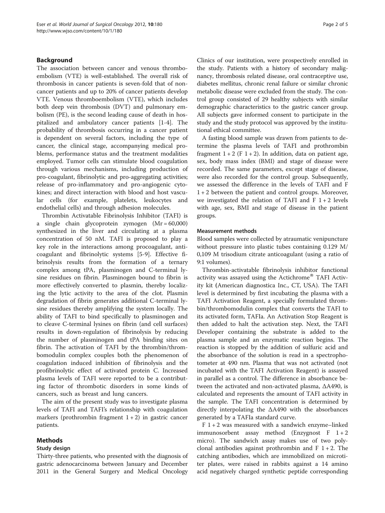# Background

The association between cancer and venous thromboembolism (VTE) is well-established. The overall risk of thrombosis in cancer patients is seven-fold that of noncancer patients and up to 20% of cancer patients develop VTE. Venous thromboembolism (VTE), which includes both deep vein thrombosis (DVT) and pulmonary embolism (PE), is the second leading cause of death in hospitalized and ambulatory cancer patients [[1-4](#page-4-0)]. The probability of thrombosis occurring in a cancer patient is dependent on several factors, including the type of cancer, the clinical stage, accompanying medical problems, performance status and the treatment modalities employed. Tumor cells can stimulate blood coagulation through various mechanisms, including production of pro-coagulant, fibrinolytic and pro-aggregating activities; release of pro-inflammatory and pro-angiogenic cytokines; and direct interaction with blood and host vascular cells (for example, platelets, leukocytes and endothelial cells) and through adhesion molecules.

Thrombin Activatable Fibrinolysis Inhibitor (TAFI) is a single chain glycoprotein zymogen (Mr = 60,000) synthesized in the liver and circulating at a plasma concentration of 50 nM. TAFI is proposed to play a key role in the interactions among procoagulant, anticoagulant and fibrinolytic systems [\[5](#page-4-0)-[9\]](#page-4-0). Effective fibrinolysis results from the formation of a ternary complex among tPA, plasminogen and C-terminal lysine residues on fibrin. Plasminogen bound to fibrin is more effectively converted to plasmin, thereby localizing the lytic activity to the area of the clot. Plasmin degradation of fibrin generates additional C-terminal lysine residues thereby amplifying the system locally. The ability of TAFI to bind specifically to plasminogen and to cleave C-terminal lysines on fibrin (and cell surfaces) results in down-regulation of fibrinolysis by reducing the number of plasminogen and tPA binding sites on fibrin. The activation of TAFI by the thrombin/thrombomodulin complex couples both the phenomenon of coagulation induced inhibition of fibrinolysis and the profibrinolytic effect of activated protein C. Increased plasma levels of TAFI were reported to be a contributing factor of thrombotic disorders in some kinds of cancers, such as breast and lung cancers.

The aim of the present study was to investigate plasma levels of TAFI and TAFI's relationship with coagulation markers (prothrombin fragment  $1+2$ ) in gastric cancer patients.

# Methods

# Study design

Clinics of our institution, were prospectively enrolled in the study. Patients with a history of secondary malignancy, thrombosis related disease, oral contraceptive use, diabetes mellitus, chronic renal failure or similar chronic metabolic disease were excluded from the study. The control group consisted of 29 healthy subjects with similar demographic characteristics to the gastric cancer group. All subjects gave informed consent to participate in the study and the study protocol was approved by the institutional ethical committee.

A fasting blood sample was drawn from patients to determine the plasma levels of TAFI and prothrombin fragment  $1 + 2$  (F  $1 + 2$ ). In addition, data on patient age, sex, body mass index (BMI) and stage of disease were recorded. The same parameters, except stage of disease, were also recorded for the control group. Subsequently, we assessed the difference in the levels of TAFI and F 1 + 2 between the patient and control groups. Moreover, we investigated the relation of TAFI and  $F$  1 + 2 levels with age, sex, BMI and stage of disease in the patient groups.

# Measurement methods

Blood samples were collected by atraumatic venipuncture without pressure into plastic tubes containing 0.129 M/ 0,109 M trisodium citrate anticoagulant (using a ratio of 9:1 volumes).

Thrombin-activatable fibrinolysis inhibitor functional activity was assayed using the Actichrome<sup>®</sup> TAFI Activity kit (American diagnostica Inc., CT, USA). The TAFI level is determined by first incubating the plasma with a TAFI Activation Reagent, a specially formulated thrombin/thrombomodulin complex that converts the TAFI to its activated form, TAFIa. An Activation Stop Reagent is then added to halt the activation step. Next, the TAFI Developer containing the substrate is added to the plasma sample and an enzymatic reaction begins. The reaction is stopped by the addition of sulfuric acid and the absorbance of the solution is read in a spectrophotometer at 490 nm. Plasma that was not activated (not incubated with the TAFI Activation Reagent) is assayed in parallel as a control. The difference in absorbance between the activated and non-activated plasma, ΔA490, is calculated and represents the amount of TAFI activity in the sample. The TAFI concentration is determined by directly interpolating the ΔA490 with the absorbances generated by a TAFIa standard curve.

 $F$  1 + 2 was measured with a sandwich enzyme–linked immunosorbent assay method (Enzygnost F 1 + 2 micro). The sandwich assay makes use of two polyclonal antibodies against prothrombin and  $F$  1 + 2. The catching antibodies, which are immobilized on microtiter plates, were raised in rabbits against a 14 amino acid negatively charged synthetic peptide corresponding

Thirty-three patients, who presented with the diagnosis of gastric adenocarcinoma between January and December 2011 in the General Surgery and Medical Oncology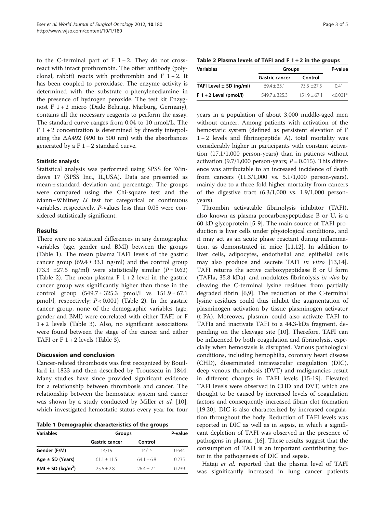to the C-terminal part of  $F$  1 + 2. They do not crossreact with intact prothrombin. The other antibody (polyclonal, rabbit) reacts with prothrombin and  $F$  1 + 2. It has been coupled to peroxidase. The enzyme activity is determined with the substrate o-phenylenediamine in the presence of hydrogen peroxide. The test kit Enzygnost F  $1+2$  micro (Dade Behring, Marburg, Germany), contains all the necessary reagents to perform the assay. The standard curve ranges from 0.04 to 10 nmol/L. The  $F$  1 + 2 concentration is determined by directly interpolating the  $\Delta$ A492 (490 to 500 nm) with the absorbances generated by a F 1 + 2 standard curve.

# Statistic analysis

Statistical analysis was performed using SPSS for Windows 17 (SPSS Inc., IL,USA). Data are presented as mean ± standard deviation and percentage. The groups were compared using the Chi-square test and the Mann–Whitney  $U$  test for categorical or continuous variables, respectively. P-values less than 0.05 were considered statistically significant.

# Results

There were no statistical differences in any demographic variables (age, gender and BMI) between the groups (Table 1). The mean plasma TAFI levels of the gastric cancer group  $(69.4 \pm 33.1 \text{ ng/ml})$  and the control group (73.3  $\pm$ 27.5 ng/ml) were statistically similar (P = 0.62) (Table 2). The mean plasma  $F$  1 + 2 level in the gastric cancer group was significantly higher than those in the control group  $(549.7 \pm 325.3 \text{ pmol/l} \text{ vs } 151.9 \pm 67.1)$ pmol/l, respectively;  $P < 0.001$ ) (Table 2). In the gastric cancer group, none of the demographic variables (age, gender and BMI) were correlated with either TAFI or F  $1 + 2$  levels (Table [3](#page-3-0)). Also, no significant associations were found between the stage of the cancer and either TAFI or  $F$  1 + 2 levels (Table [3\)](#page-3-0).

# Discussion and conclusion

Cancer-related thrombosis was first recognized by Bouillard in 1823 and then described by Trousseau in 1844. Many studies have since provided significant evidence for a relationship between thrombosis and cancer. The relationship between the hemostatic system and cancer was shown by a study conducted by Miller et al. [\[10](#page-4-0)], which investigated hemostatic status every year for four

Table 1 Demographic characteristics of the groups

| <b>Variables</b>      | Groups                |              | P-value |  |
|-----------------------|-----------------------|--------------|---------|--|
|                       | <b>Gastric cancer</b> | Control      |         |  |
| Gender (F/M)          | 14/19                 | 14/15        | 0.644   |  |
| Age $\pm$ SD (Years)  | $61.1 + 11.5$         | $64.1 + 6.8$ | 0.235   |  |
| $BMI \pm SD (kq/m^2)$ | $25.6 + 2.8$          | $26.4 + 2.1$ | በ 239   |  |

Table 2 Plasma levels of TAFI and  $F$  1 + 2 in the groups

| <b>Variables</b>            | Groups                | P-value        |            |
|-----------------------------|-----------------------|----------------|------------|
|                             | <b>Gastric cancer</b> | Control        |            |
| TAFI Level $\pm$ SD (ng/ml) | $69.4 + 33.1$         | $73.3 + 27.5$  | 041        |
| $F 1 + 2$ Level (pmol/l)    | $549.7 + 325.3$       | $151.9 + 67.1$ | $< 0.001*$ |

years in a population of about 3,000 middle-aged men without cancer. Among patients with activation of the hemostatic system (defined as persistent elevation of F  $1+2$  levels and fibrinopeptide A), total mortality was considerably higher in participants with constant activation (17.1/1,000 person-years) than in patients without activation (9.7/1,000 person-years;  $P = 0.015$ ). This difference was attributable to an increased incidence of death from cancers (11.3/1,000 vs. 5.1/1,000 person-years), mainly due to a three-fold higher mortality from cancers of the digestive tract  $(6.3/1,000 \text{ vs. } 1.9/1,000 \text{ person}$ years).

Thrombin activatable fibrinolysis inhibitor (TAFI), also known as plasma procarboxypeptidase B or U, is a 60 kD glycoprotein [\[5](#page-4-0)-[9\]](#page-4-0). The main source of TAFI production is liver cells under physiological conditions, and it may act as an acute phase reactant during inflammation, as demonstrated in mice [[11,12\]](#page-4-0). In addition to liver cells, adipocytes, endothelial and epithelial cells may also produce and secrete TAFI in vitro [\[13,14](#page-4-0)]. TAFI returns the active carboxypeptidase B or U form (TAFIa, 35.8 kDa), and modulates fibrinolysis in vivo by cleaving the C-terminal lysine residues from partially degraded fibrin [[6,9\]](#page-4-0). The reduction of the C-terminal lysine residues could thus inhibit the augmentation of plasminogen activation by tissue plasminogen activator (t-PA). Moreover, plasmin could also activate TAFI to TAFIa and inactivate TAFI to a 44.3-kDa fragment, depending on the cleavage site [\[10](#page-4-0)]. Therefore, TAFI can be influenced by both coagulation and fibrinolysis, especially when hemostasis is disrupted. Various pathological conditions, including hemophilia, coronary heart disease (CHD), disseminated intravascular coagulation (DIC), deep venous thrombosis (DVT) and malignancies result in different changes in TAFI levels [[15-19](#page-4-0)]. Elevated TAFI levels were observed in CHD and DVT, which are thought to be caused by increased levels of coagulation factors and consequently increased fibrin clot formation [[19,20\]](#page-4-0). DIC is also characterized by increased coagulation throughout the body. Reduction of TAFI levels was reported in DIC as well as in sepsis, in which a significant depletion of TAFI was observed in the presence of pathogens in plasma [\[16](#page-4-0)]. These results suggest that the consumption of TAFI is an important contributing factor in the pathogenesis of DIC and sepsis.

Hataji et al. reported that the plasma level of TAFI was significantly increased in lung cancer patients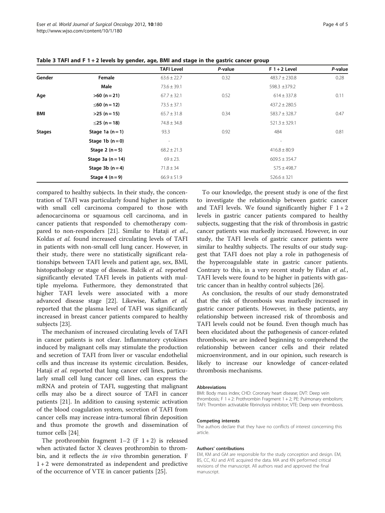|               |                     | <b>TAFI Level</b>        | P-value | $F1 + 2$ Level    | P-value |
|---------------|---------------------|--------------------------|---------|-------------------|---------|
| Gender        | Female              | $63.6 \pm 22.7$          | 0.32    | $483.7 \pm 230.8$ | 0.28    |
|               | Male                | $73.6 \pm 39.1$          |         | 598.3 ±379.2      |         |
| Age           | $>60$ (n = 21)      | $67.7 \pm 32.1$          | 0.52    | $614 \pm 337.8$   | 0.11    |
|               | ≤60 (n = 12)        | $73.5 \pm 37.1$          |         | $437.2 \pm 280.5$ |         |
| <b>BMI</b>    | $>25$ (n = 15)      | $65.7 \pm 31.8$          | 0.34    | $583.7 \pm 328.7$ | 0.47    |
|               | ≤25 (n = 18)        | $74.8 \pm 34.8$          |         | $521.3 \pm 329.1$ |         |
| <b>Stages</b> | Stage 1a $(n=1)$    | 93.3                     | 0.92    | 484               | 0.81    |
|               | Stage 1b $(n=0)$    | $\overline{\phantom{a}}$ |         | $\qquad \qquad$   |         |
|               | Stage 2 $(n=5)$     | $68.2 \pm 21.3$          |         | $416.8 \pm 80.9$  |         |
|               | Stage 3a $(n = 14)$ | $69 \pm 23$ .            |         | $609.5 \pm 354.7$ |         |
|               | Stage 3b $(n=4)$    | $71.8 \pm 34$            |         | $575 \pm 498.7$   |         |
|               | Stage 4 $(n=9)$     | $66.9 \pm 51.9$          |         | $526.6 \pm 321$   |         |

<span id="page-3-0"></span>Table 3 TAFI and F 1 + 2 levels by gender, age, BMI and stage in the gastric cancer group

compared to healthy subjects. In their study, the concentration of TAFI was particularly found higher in patients with small cell carcinoma compared to those with adenocarcinoma or squamous cell carcinoma, and in cancer patients that responded to chemotherapy com-pared to non-responders [[21\]](#page-4-0). Similar to Hataji et al., Koldas et al. found increased circulating levels of TAFI in patients with non-small cell lung cancer. However, in their study, there were no statistically significant relationships between TAFI levels and patient age, sex, BMI, histopathology or stage of disease. Balcik et al. reported significantly elevated TAFI levels in patients with multiple myeloma. Futhermore, they demonstrated that higher TAFI levels were associated with a more advanced disease stage [\[22\]](#page-4-0). Likewise, Kaftan et al. reported that the plasma level of TAFI was significantly increased in breast cancer patients compared to healthy subjects [\[23](#page-4-0)].

The mechanism of increased circulating levels of TAFI in cancer patients is not clear. Inflammatory cytokines induced by malignant cells may stimulate the production and secretion of TAFI from liver or vascular endothelial cells and thus increase its systemic circulation. Besides, Hataji et al. reported that lung cancer cell lines, particularly small cell lung cancer cell lines, can express the mRNA and protein of TAFI, suggesting that malignant cells may also be a direct source of TAFI in cancer patients [\[21\]](#page-4-0). In addition to causing systemic activation of the blood coagulation system, secretion of TAFI from cancer cells may increase intra-tumoral fibrin deposition and thus promote the growth and dissemination of tumor cells [[24\]](#page-4-0).

The prothrombin fragment  $1-2$  (F  $1+2$ ) is released when activated factor X cleaves prothrombin to thrombin, and it reflects the *in vivo* thrombin generation. F 1 + 2 were demonstrated as independent and predictive of the occurrence of VTE in cancer patients [\[25](#page-4-0)].

To our knowledge, the present study is one of the first to investigate the relationship between gastric cancer and TAFI levels. We found significantly higher  $F$  1 + 2 levels in gastric cancer patients compared to healthy subjects, suggesting that the risk of thrombosis in gastric cancer patients was markedly increased. However, in our study, the TAFI levels of gastric cancer patients were similar to healthy subjects. The results of our study suggest that TAFI does not play a role in pathogenesis of the hypercoagulable state in gastric cancer patients. Contrary to this, in a very recent study by Fidan et al., TAFI levels were found to be higher in patients with gastric cancer than in healthy control subjects [[26\]](#page-4-0).

As conclusion, the results of our study demonstrated that the risk of thrombosis was markedly increased in gastric cancer patients. However, in these patients, any relationship between increased risk of thrombosis and TAFI levels could not be found. Even though much has been elucidated about the pathogenesis of cancer-related thrombosis, we are indeed beginning to comprehend the relationship between cancer cells and their related microenvironment, and in our opinion, such research is likely to increase our knowledge of cancer-related thrombosis mechanisms.

#### Abbreviations

BMI: Body mass index; CHD: Coronary heart disease; DVT: Deep vein thrombosis; F 1 + 2: Prothrombin Fragment 1 + 2; PE: Pulmonary embolism; TAFI: Thrombin activatable fibrinolysis inhibitor; VTE: Deep vein thrombosis.

#### Competing interests

The authors declare that they have no conflicts of interest concerning this article.

#### Authors' contributions

EM, KM and GM are responsible for the study conception and design. EM, BS, CC, KU and AYE acquired the data. MA and KN performed critical revisions of the manuscript. All authors read and approved the final manuscript.